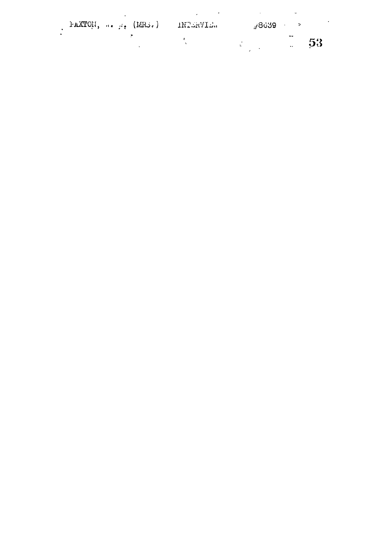| FAXTON, $\cdots$ $\cdots$ (MRS.) INTERVIE. |  | <i>⊬</i> 8639 → |                             |    |
|--------------------------------------------|--|-----------------|-----------------------------|----|
|                                            |  |                 | $-1$<br>$\bullet$ $\bullet$ | 53 |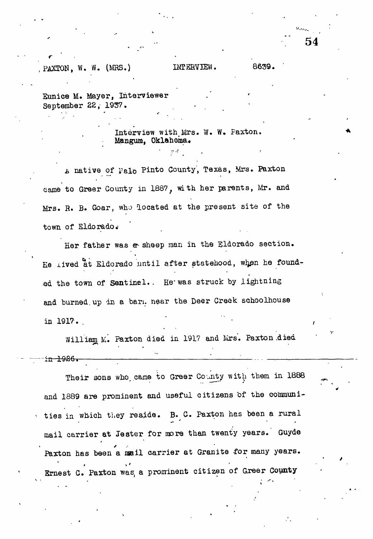## PAXTON, W. W. (MRS.) INTERVIEW. 8639.

Eunice M. Mayer, Interviewer September 22, 1937.

> Interview with Mrs. W. W. Paxton. **Mangum,** Oklahoma.

*h* native of Palo Pinto County, Texas, Mrs. Paxton eame to Greer County in 1887, with her parents, Mr. and Mrs. R. B. Goar, who located at the present site of the town of Eldorado.

Her father was a sheep man in the Eldorado section. He lived at Eldorado until after statehood, when he founded the town of Sentinel.. He was struck by lightning and burned up in a barm near the Deer Creek schoolhouse in 1917.

William M. Paxton died in 1917 and Mrs. Paxton died *4^* in 1926.

Their sons who, came to Greer County with them in 1888 and 1889 are prominent and useful citizens of the communities in which they reside. B. C. Paxton has been a rural mail carrier at Jester for more than twenty years. Guyde Paxton has been a mail carrier at Granite for many years. Ernest C. Paxton was a prominent citizen of Greer County